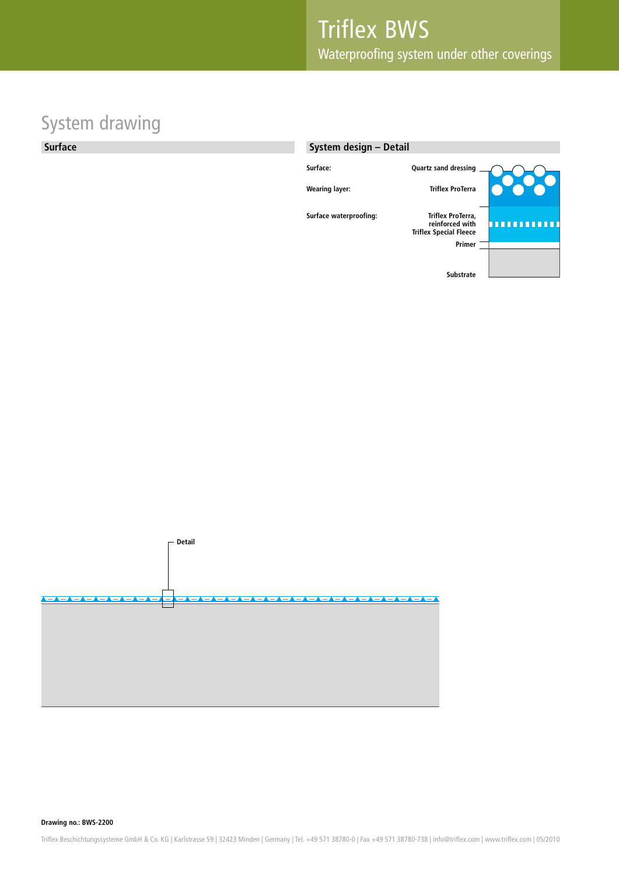# System drawing

#### **Surface**





**Drawing no.: BWS-2200**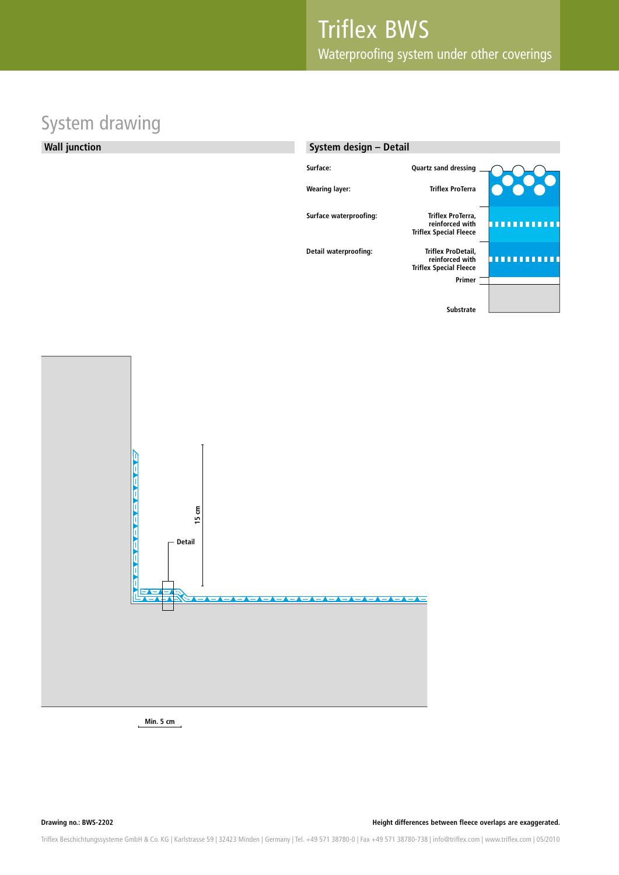#### System drawing

**Wall junction**





**Min. 5 cm**

**Drawing no.: BWS-2202 Height differences between fleece overlaps are exaggerated.**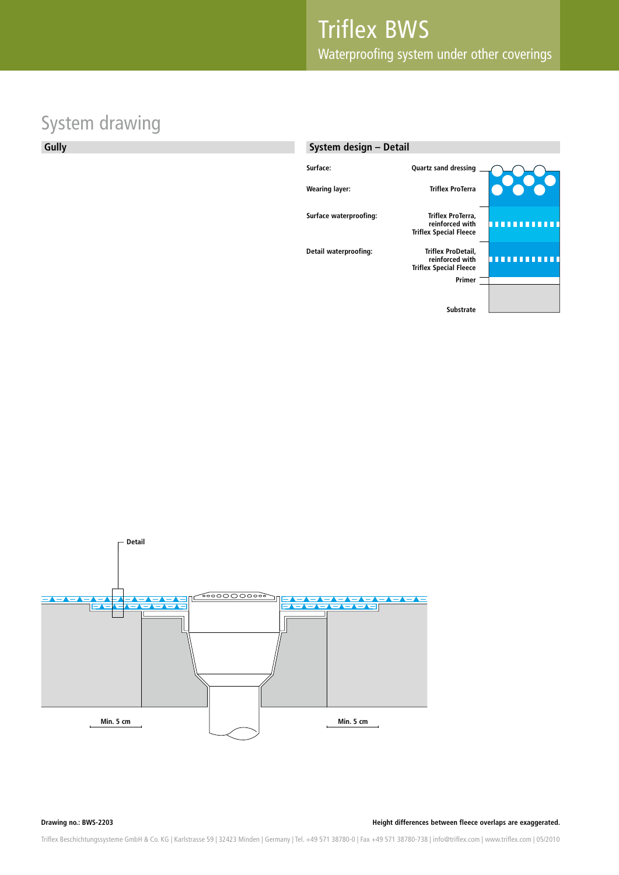# System drawing

**Gully**

#### **System design – DetailSurface: Quartz sand dressing Wearing layer: Triflex ProTerra Surface waterproofing: Triflex ProTerra, reinforced with Triflex Special Fleece Detail waterproofing: Triflex ProDetail, reinforced with** ,,,,,,,,,,, **Triflex Special Fleece Primer Substrate**



**Drawing no.: BWS-2203**

**Height differences between fleece overlaps are exaggerated.**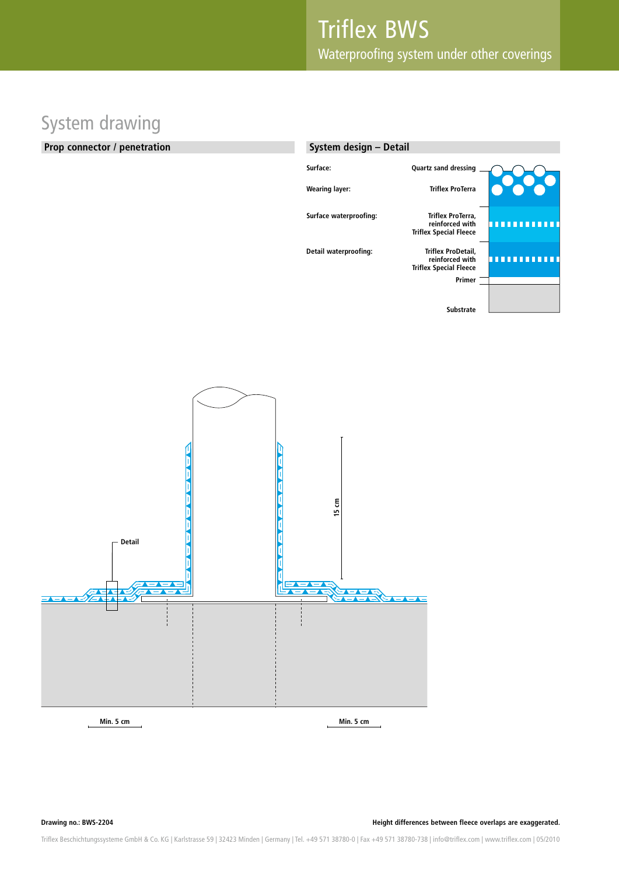# System drawing

#### **Prop connector / penetration**

| System design - Detail |                                                                        |  |
|------------------------|------------------------------------------------------------------------|--|
| Surface:               | Quartz sand dressing                                                   |  |
| <b>Wearing layer:</b>  | <b>Triflex ProTerra</b>                                                |  |
| Surface waterproofing: | Triflex ProTerra,<br>reinforced with<br><b>Triflex Special Fleece</b>  |  |
| Detail waterproofing:  | Triflex ProDetail,<br>reinforced with<br><b>Triflex Special Fleece</b> |  |
|                        | Primer                                                                 |  |
|                        | <b>Substrate</b>                                                       |  |



**Drawing no.: BWS-2204**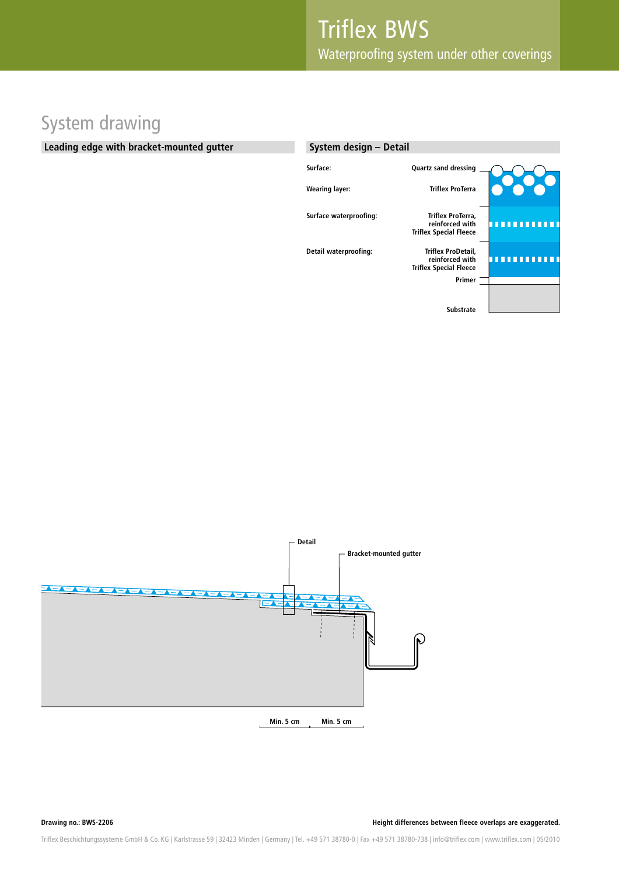# System drawing

#### **Leading edge with bracket-mounted gutter**

| System design - Detail |                                                                        |  |
|------------------------|------------------------------------------------------------------------|--|
| Surface:               | Quartz sand dressing                                                   |  |
| <b>Wearing layer:</b>  | <b>Triflex ProTerra</b>                                                |  |
| Surface waterproofing: | Triflex ProTerra,<br>reinforced with<br><b>Triflex Special Fleece</b>  |  |
| Detail waterproofing:  | Triflex ProDetail,<br>reinforced with<br><b>Triflex Special Fleece</b> |  |
|                        | Primer                                                                 |  |
|                        | <b>Substrate</b>                                                       |  |

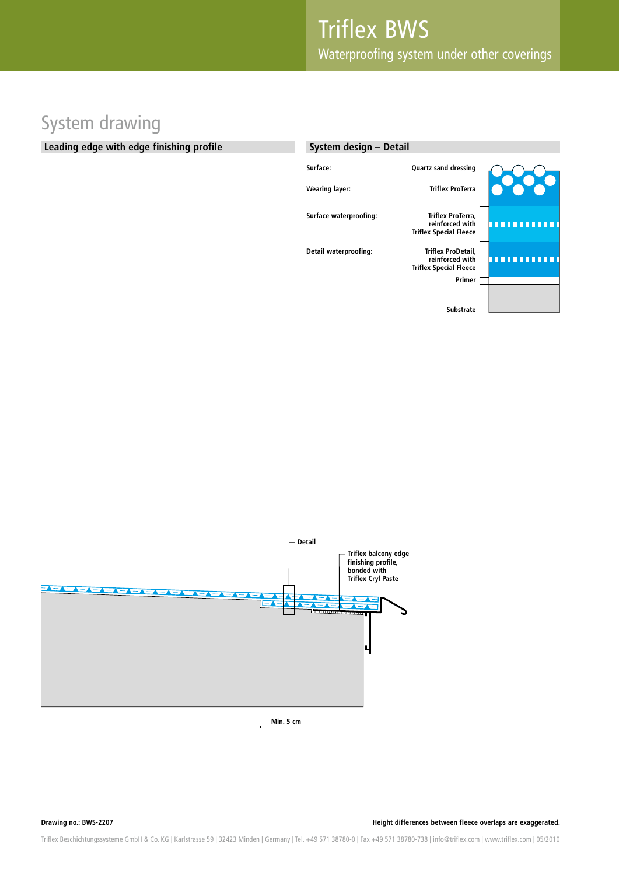# System drawing

#### **Leading edge with edge finishing profile**

| System design - Detail |                                                                        |  |
|------------------------|------------------------------------------------------------------------|--|
| Surface:               | <b>Quartz sand dressing</b>                                            |  |
| <b>Wearing layer:</b>  | <b>Triflex ProTerra</b>                                                |  |
| Surface waterproofing: | Triflex ProTerra,<br>reinforced with<br><b>Triflex Special Fleece</b>  |  |
| Detail waterproofing:  | Triflex ProDetail,<br>reinforced with<br><b>Triflex Special Fleece</b> |  |
|                        | Primer                                                                 |  |
|                        | <b>Substrate</b>                                                       |  |



**Min. 5 cm**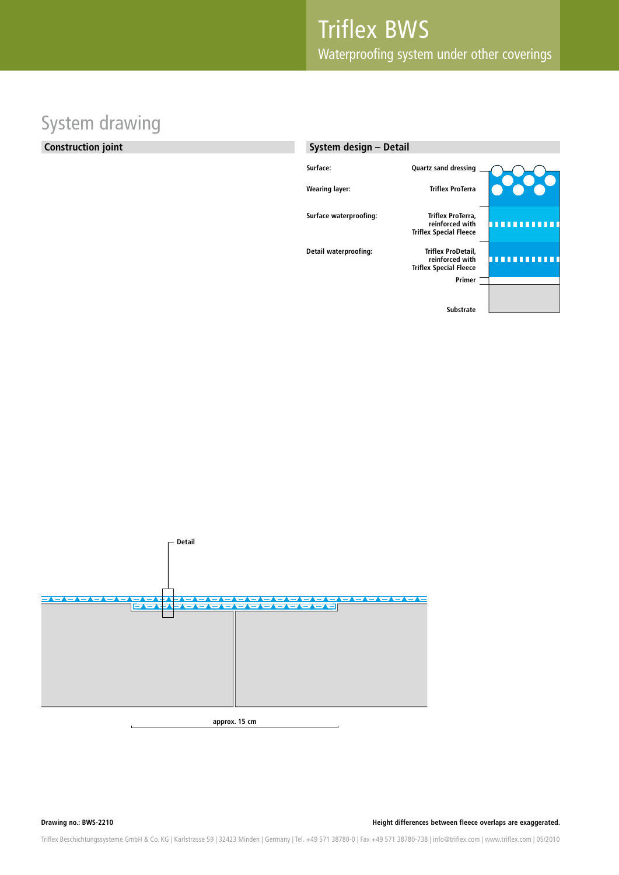# System drawing

#### **Construction joint**

| System design - Detail |                                                                        |  |
|------------------------|------------------------------------------------------------------------|--|
| Surface:               | <b>Quartz sand dressing</b>                                            |  |
| <b>Wearing layer:</b>  | <b>Triflex ProTerra</b>                                                |  |
| Surface waterproofing: | Triflex ProTerra,<br>reinforced with<br><b>Triflex Special Fleece</b>  |  |
| Detail waterproofing:  | Triflex ProDetail,<br>reinforced with<br><b>Triflex Special Fleece</b> |  |
|                        | Primer                                                                 |  |
|                        | <b>Substrate</b>                                                       |  |



**Drawing no.: BWS-2210**

**Height differences between fleece overlaps are exaggerated.**